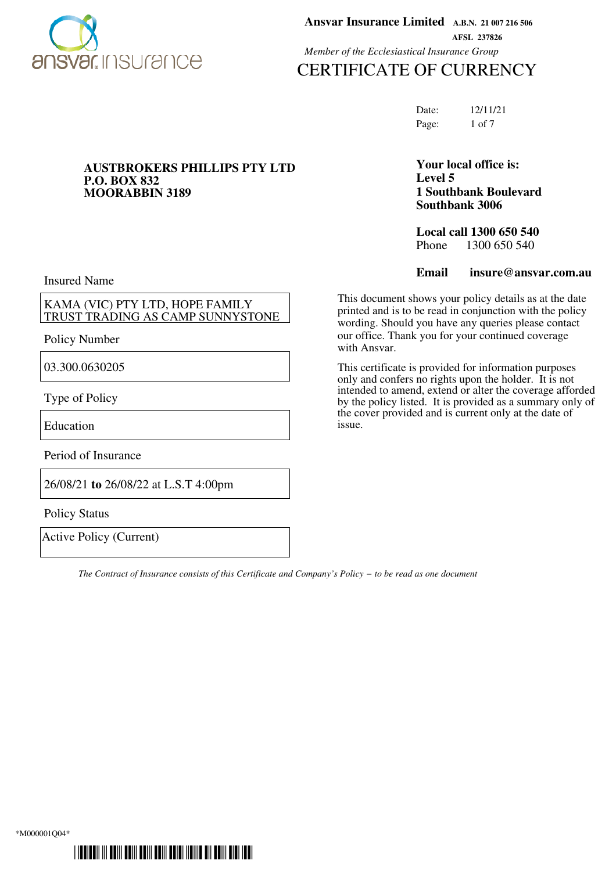

**P.O. BOX 832 MOORABBIN 3189** **Ansvar Insurance Limited A.B.N. 21 007 216 506 AFSL 237826** *Member of the Ecclesiastical Insurance Group*

# CERTIFICATE OF CURRENCY

Date: 12/11/21 Page: 1 of 7

### **Your local office is: Level 5 1 Southbank Boulevard Southbank 3006**

**Local call 1300 650 540**<br>Phone 1300 650 540 1300 650 540

**Email insure@ansvar.com.au**

This document shows your policy details as at the date printed and is to be read in conjunction with the policy wording. Should you have any queries please contact our office. Thank you for your continued coverage with Ansvar.

This certificate is provided for information purposes only and confers no rights upon the holder. It is not intended to amend, extend or alter the coverage afforded by the policy listed. It is provided as a summary only of the cover provided and is current only at the date of issue.

Insured Name

KAMA (VIC) PTY LTD, HOPE FAMILY TRUST TRADING AS CAMP SUNNYSTONE

**AUSTBROKERS PHILLIPS PTY LTD**

Policy Number

03.300.0630205

Type of Policy

Education

Period of Insurance

26/08/21 **to** 26/08/22 at L.S.T 4:00pm

Policy Status

Active Policy (Current)

*The Contract of Insurance consists of this Certificate and Company's Policy − to be read as one document*

\*M000001Q04\*

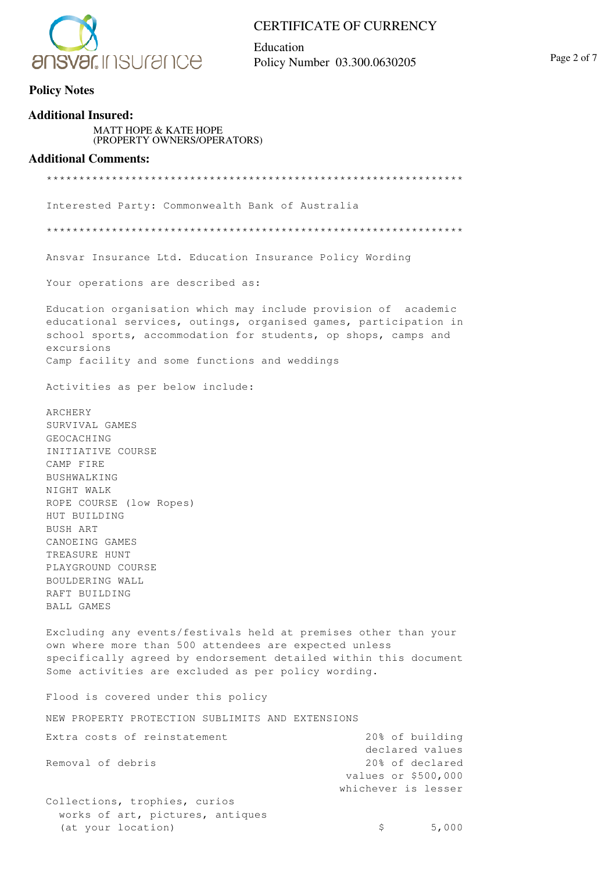

Education Policy Number 03.300.0630205 Page 2 of 7

### **Additional Insured:** MATT HOPE & KATE HOPE (PROPERTY OWNERS/OPERATORS) **Additional Comments:** \*\*\*\*\*\*\*\*\*\*\*\*\*\*\*\*\*\*\*\*\*\*\*\*\*\*\*\*\*\*\*\*\*\*\*\*\*\*\*\*\*\*\*\*\*\*\*\*\*\*\*\*\*\*\*\*\*\*\*\*\*\*\*\* Interested Party: Commonwealth Bank of Australia \*\*\*\*\*\*\*\*\*\*\*\*\*\*\*\*\*\*\*\*\*\*\*\*\*\*\*\*\*\*\*\*\*\*\*\*\*\*\*\*\*\*\*\*\*\*\*\*\*\*\*\*\*\*\*\*\*\*\*\*\*\*\*\* Ansvar Insurance Ltd. Education Insurance Policy Wording Your operations are described as: Education organisation which may include provision of academic educational services, outings, organised games, participation in school sports, accommodation for students, op shops, camps and excursions Camp facility and some functions and weddings Activities as per below include: ARCHERY SURVIVAL GAMES GEOCACHING INITIATIVE COURSE CAMP FIRE BUSHWALKING NIGHT WALK ROPE COURSE (low Ropes) HUT BUILDING BUSH ART CANOEING GAMES TREASURE HUNT PLAYGROUND COURSE BOULDERING WALL RAFT BUILDING BALL GAMES Excluding any events/festivals held at premises other than your own where more than 500 attendees are expected unless specifically agreed by endorsement detailed within this document Some activities are excluded as per policy wording. Flood is covered under this policy NEW PROPERTY PROTECTION SUBLIMITS AND EXTENSIONS Extra costs of reinstatement 20% of building declared values Removal of debris 20% of declared values or \$500,000 whichever is lesser Collections, trophies, curios works of art, pictures, antiques (at your location) \$ 5,000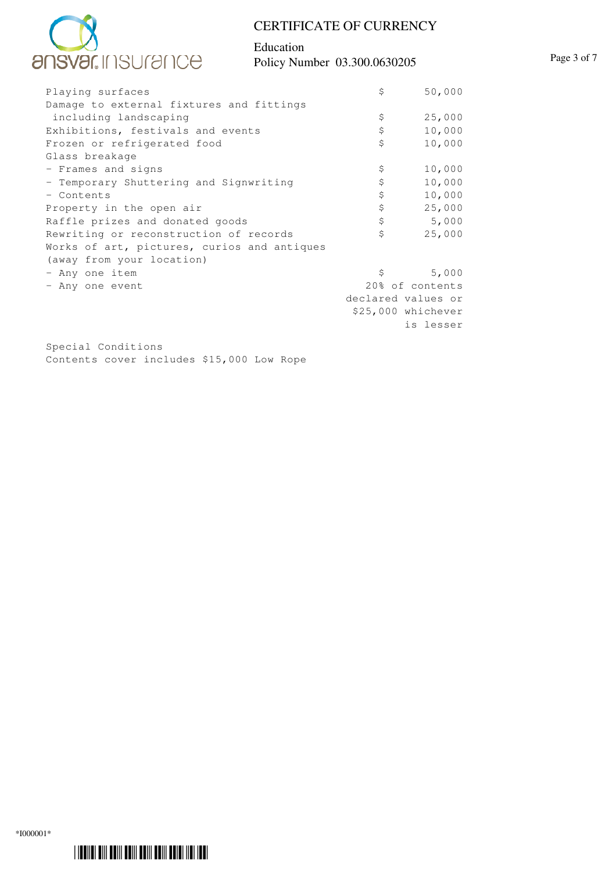

### Education Policy Number 03.300.0630205 Page 3 of 7

| Playing surfaces                            | \$                                    | 50,000 |  |
|---------------------------------------------|---------------------------------------|--------|--|
| Damage to external fixtures and fittings    |                                       |        |  |
| including landscaping                       | \$                                    | 25,000 |  |
| Exhibitions, festivals and events           | \$                                    | 10,000 |  |
| Frozen or refrigerated food                 | \$                                    | 10,000 |  |
| Glass breakage                              |                                       |        |  |
| - Frames and signs                          | \$                                    | 10,000 |  |
| - Temporary Shuttering and Signwriting      | \$                                    | 10,000 |  |
| - Contents                                  | \$                                    | 10,000 |  |
| Property in the open air                    | \$                                    | 25,000 |  |
| Raffle prizes and donated goods             | \$                                    | 5,000  |  |
| Rewriting or reconstruction of records      | \$                                    | 25,000 |  |
| Works of art, pictures, curios and antiques |                                       |        |  |
| (away from your location)                   |                                       |        |  |
| - Any one item                              | \$                                    | 5,000  |  |
| - Any one event                             | 20% of contents<br>declared values or |        |  |
|                                             |                                       |        |  |
|                                             | \$25,000 whichever                    |        |  |
|                                             | is lesser                             |        |  |

Special Conditions Contents cover includes \$15,000 Low Rope

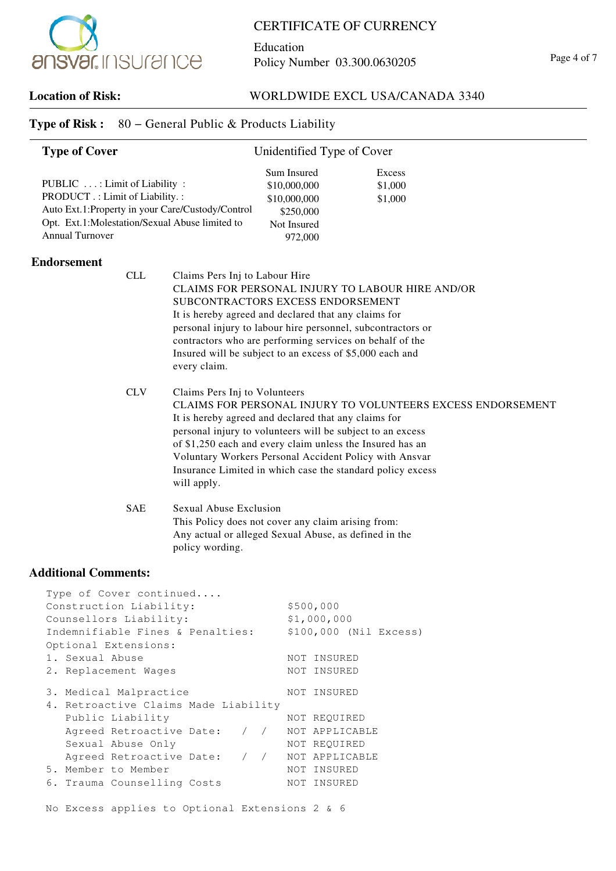

Education Policy Number 03.300.0630205 Page 4 of 7

## **Location of Risk:** WORLDWIDE EXCL USA/CANADA 3340

| <b>Type of Cover</b>                                                                                                 |                                                                                                                                                                                                                                                                                                                                                                       | Unidentified Type of Cover                                                                                                            |                                                             |  |  |
|----------------------------------------------------------------------------------------------------------------------|-----------------------------------------------------------------------------------------------------------------------------------------------------------------------------------------------------------------------------------------------------------------------------------------------------------------------------------------------------------------------|---------------------------------------------------------------------------------------------------------------------------------------|-------------------------------------------------------------|--|--|
| PUBLIC : Limit of Liability :<br>PRODUCT .: Limit of Liability.:<br><b>Annual Turnover</b>                           | Auto Ext.1:Property in your Care/Custody/Control<br>Opt. Ext.1:Molestation/Sexual Abuse limited to                                                                                                                                                                                                                                                                    | Sum Insured<br>\$10,000,000<br>\$10,000,000<br>\$250,000<br>Not Insured<br>972,000                                                    | <b>Excess</b><br>\$1,000<br>\$1,000                         |  |  |
| <b>Endorsement</b>                                                                                                   | <b>CLL</b><br>Claims Pers Inj to Labour Hire<br>SUBCONTRACTORS EXCESS ENDORSEMENT<br>It is hereby agreed and declared that any claims for<br>personal injury to labour hire personnel, subcontractors or<br>contractors who are performing services on behalf of the<br>Insured will be subject to an excess of \$5,000 each and<br>every claim.                      |                                                                                                                                       | CLAIMS FOR PERSONAL INJURY TO LABOUR HIRE AND/OR            |  |  |
|                                                                                                                      | <b>CLV</b><br>Claims Pers Inj to Volunteers<br>It is hereby agreed and declared that any claims for<br>personal injury to volunteers will be subject to an excess<br>of \$1,250 each and every claim unless the Insured has an<br>Voluntary Workers Personal Accident Policy with Ansvar<br>Insurance Limited in which case the standard policy excess<br>will apply. |                                                                                                                                       | CLAIMS FOR PERSONAL INJURY TO VOLUNTEERS EXCESS ENDORSEMENT |  |  |
|                                                                                                                      | <b>SAE</b><br>policy wording.                                                                                                                                                                                                                                                                                                                                         | Sexual Abuse Exclusion<br>This Policy does not cover any claim arising from:<br>Any actual or alleged Sexual Abuse, as defined in the |                                                             |  |  |
| <b>Additional Comments:</b>                                                                                          |                                                                                                                                                                                                                                                                                                                                                                       |                                                                                                                                       |                                                             |  |  |
| Construction Liability:<br>Counsellors Liability:<br>Optional Extensions:<br>1. Sexual Abuse<br>2. Replacement Wages | Type of Cover continued<br>Indemnifiable Fines & Penalties:                                                                                                                                                                                                                                                                                                           | \$500,000<br>\$1,000,000<br>NOT INSURED<br>NOT INSURED                                                                                | \$100,000 (Nil Excess)                                      |  |  |
| 3. Medical Malpractice<br>Public Liability<br>Sexual Abuse Only<br>5. Member to Member                               | 4. Retroactive Claims Made Liability<br>Agreed Retroactive Date:<br>Agreed Retroactive Date:<br>6. Trauma Counselling Costs                                                                                                                                                                                                                                           | NOT INSURED<br>NOT REQUIRED<br>/ / NOT APPLICABLE<br>NOT REQUIRED<br>/ / NOT APPLICABLE<br>NOT INSURED<br>NOT INSURED                 |                                                             |  |  |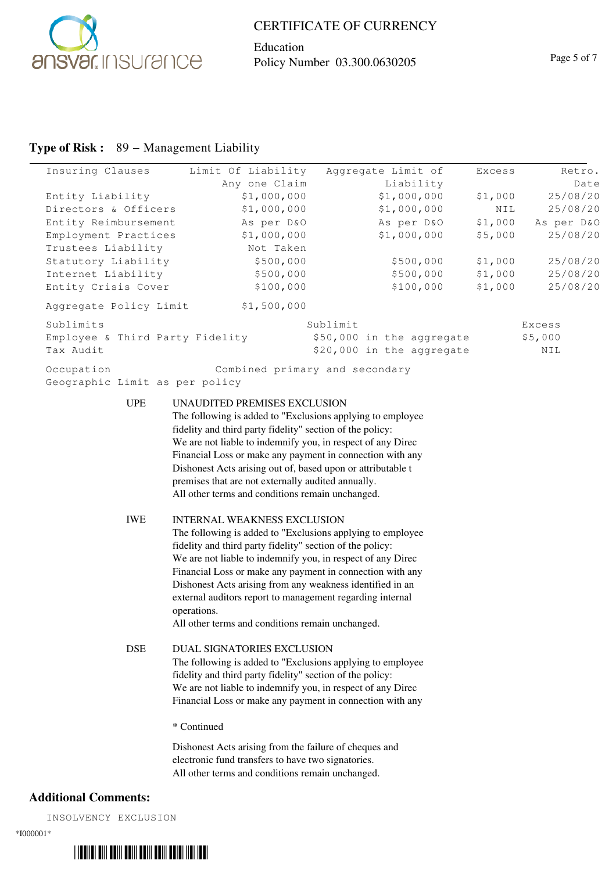

 $\frac{1}{2}$ 

### CERTIFICATE OF CURRENCY

Education Policy Number 03.300.0630205 Page 5 of 7

## **Type of Risk :** 89 − Management Liability

| Insuring Clauses                             | Limit Of Liability                                                                                                                                                                                                                                                                                                                                                                                                                                                                                                                                                                                                                                                                           | Aggregate Limit of             | Excess             | Retro.               |
|----------------------------------------------|----------------------------------------------------------------------------------------------------------------------------------------------------------------------------------------------------------------------------------------------------------------------------------------------------------------------------------------------------------------------------------------------------------------------------------------------------------------------------------------------------------------------------------------------------------------------------------------------------------------------------------------------------------------------------------------------|--------------------------------|--------------------|----------------------|
|                                              | Any one Claim                                                                                                                                                                                                                                                                                                                                                                                                                                                                                                                                                                                                                                                                                | Liability                      |                    | Date                 |
| Entity Liability                             | \$1,000,000                                                                                                                                                                                                                                                                                                                                                                                                                                                                                                                                                                                                                                                                                  | \$1,000,000                    | \$1,000            | 25/08/20             |
| Directors & Officers                         | \$1,000,000                                                                                                                                                                                                                                                                                                                                                                                                                                                                                                                                                                                                                                                                                  | \$1,000,000                    | NIL                | 25/08/20             |
| Entity Reimbursement                         | As per D&O                                                                                                                                                                                                                                                                                                                                                                                                                                                                                                                                                                                                                                                                                   | As per D&O                     | \$1,000            | As per D&O           |
| Employment Practices                         | \$1,000,000                                                                                                                                                                                                                                                                                                                                                                                                                                                                                                                                                                                                                                                                                  | \$1,000,000                    | \$5,000            | 25/08/20             |
| Trustees Liability                           | Not Taken                                                                                                                                                                                                                                                                                                                                                                                                                                                                                                                                                                                                                                                                                    |                                |                    |                      |
| Statutory Liability<br>Internet Liability    | \$500,000<br>\$500,000                                                                                                                                                                                                                                                                                                                                                                                                                                                                                                                                                                                                                                                                       | \$500,000<br>\$500,000         | \$1,000<br>\$1,000 | 25/08/20<br>25/08/20 |
| Entity Crisis Cover                          | \$100,000                                                                                                                                                                                                                                                                                                                                                                                                                                                                                                                                                                                                                                                                                    | \$100,000                      | \$1,000            | 25/08/20             |
| Aggregate Policy Limit                       | \$1,500,000                                                                                                                                                                                                                                                                                                                                                                                                                                                                                                                                                                                                                                                                                  |                                |                    |                      |
| Sublimits                                    |                                                                                                                                                                                                                                                                                                                                                                                                                                                                                                                                                                                                                                                                                              | Sublimit                       |                    | Excess               |
| Employee & Third Party Fidelity              |                                                                                                                                                                                                                                                                                                                                                                                                                                                                                                                                                                                                                                                                                              | \$50,000 in the aggregate      |                    | \$5,000              |
| Tax Audit                                    |                                                                                                                                                                                                                                                                                                                                                                                                                                                                                                                                                                                                                                                                                              | \$20,000 in the aggregate      |                    | NIL                  |
| Occupation<br>Geographic Limit as per policy |                                                                                                                                                                                                                                                                                                                                                                                                                                                                                                                                                                                                                                                                                              | Combined primary and secondary |                    |                      |
| <b>UPE</b><br><b>IWE</b>                     | UNAUDITED PREMISES EXCLUSION<br>The following is added to "Exclusions applying to employee<br>fidelity and third party fidelity" section of the policy:<br>We are not liable to indemnify you, in respect of any Direc<br>Financial Loss or make any payment in connection with any<br>Dishonest Acts arising out of, based upon or attributable t<br>premises that are not externally audited annually.<br>All other terms and conditions remain unchanged.<br><b>INTERNAL WEAKNESS EXCLUSION</b><br>The following is added to "Exclusions applying to employee<br>fidelity and third party fidelity" section of the policy:<br>We are not liable to indemnify you, in respect of any Direc |                                |                    |                      |
|                                              | Financial Loss or make any payment in connection with any<br>Dishonest Acts arising from any weakness identified in an<br>external auditors report to management regarding internal<br>operations.<br>All other terms and conditions remain unchanged.                                                                                                                                                                                                                                                                                                                                                                                                                                       |                                |                    |                      |
| <b>DSE</b>                                   | DUAL SIGNATORIES EXCLUSION<br>The following is added to "Exclusions applying to employee<br>fidelity and third party fidelity" section of the policy:<br>We are not liable to indemnify you, in respect of any Direc<br>Financial Loss or make any payment in connection with any<br>* Continued<br>Dishonest Acts arising from the failure of cheques and<br>electronic fund transfers to have two signatories.                                                                                                                                                                                                                                                                             |                                |                    |                      |
|                                              | All other terms and conditions remain unchanged.                                                                                                                                                                                                                                                                                                                                                                                                                                                                                                                                                                                                                                             |                                |                    |                      |

# **Additional Comments:**

INSOLVENCY EXCLUSION

\*I000001\*

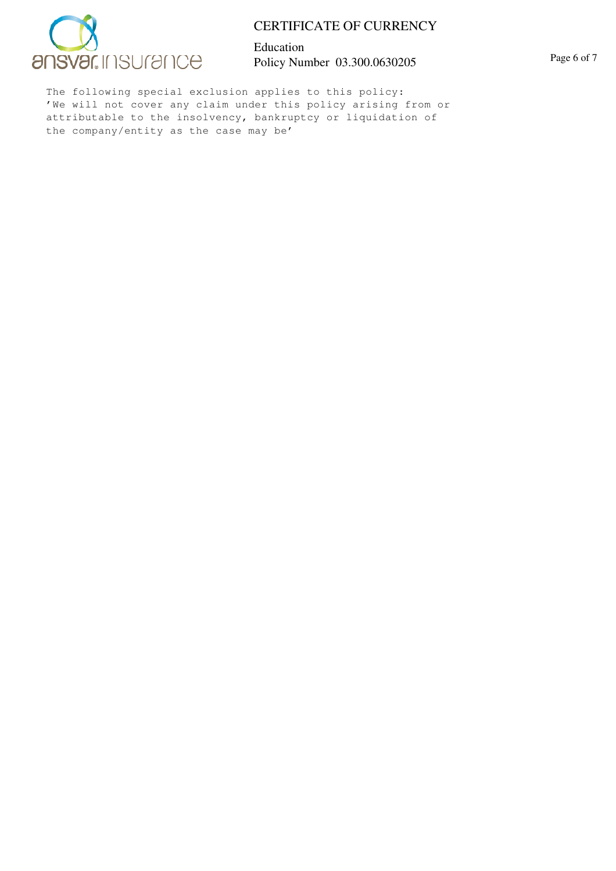

Education Policy Number 03.300.0630205 Page 6 of 7

The following special exclusion applies to this policy: 'We will not cover any claim under this policy arising from or attributable to the insolvency, bankruptcy or liquidation of the company/entity as the case may be'